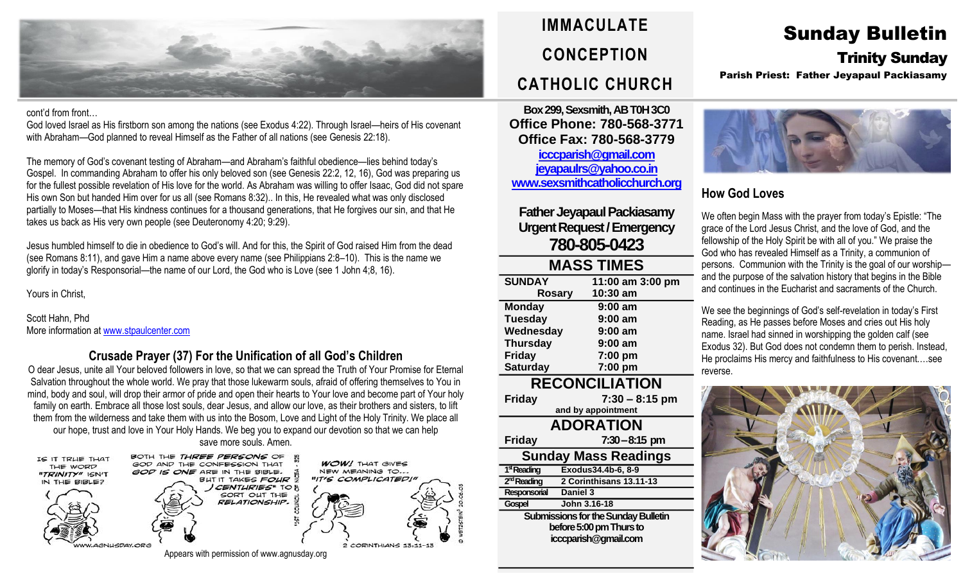

#### cont'd from front…

God loved Israel as His firstborn son among the nations (see Exodus 4:22). Through Israel—heirs of His covenant with Abraham—God planned to reveal Himself as the Father of all nations (see Genesis 22:18).

The memory of God's covenant testing of Abraham—and Abraham's faithful obedience—lies behind today's Gospel. In commanding Abraham to offer his only beloved son (see Genesis 22:2, 12, 16), God was preparing us for the fullest possible revelation of His love for the world. As Abraham was willing to offer Isaac, God did not spare His own Son but handed Him over for us all (see Romans 8:32).. In this, He revealed what was only disclosed partially to Moses—that His kindness continues for a thousand generations, that He forgives our sin, and that He takes us back as His very own people (see Deuteronomy 4:20; 9:29).

Jesus humbled himself to die in obedience to God's will. And for this, the Spirit of God raised Him from the dead (see Romans 8:11), and gave Him a name above every name (see Philippians 2:8–10). This is the name we glorify in today's Responsorial—the name of our Lord, the God who is Love (see 1 John 4;8, 16).

Yours in Christ,

Scott Hahn, Phd More information at [www.stpaulcenter.com](http://www.stpaulcenter.com/)

#### **Crusade Prayer (37) For the Unification of all God's Children**

O dear Jesus, unite all Your beloved followers in love, so that we can spread the Truth of Your Promise for Eternal Salvation throughout the whole world. We pray that those lukewarm souls, afraid of offering themselves to You in mind, body and soul, will drop their armor of pride and open their hearts to Your love and become part of Your holy family on earth. Embrace all those lost souls, dear Jesus, and allow our love, as their brothers and sisters, to lift them from the wilderness and take them with us into the Bosom, Love and Light of the Holy Trinity. We place all our hope, trust and love in Your Holy Hands. We beg you to expand our devotion so that we can help save more souls. Amen.



# **IMMACULATE CONCEPTION CATHOLIC CHURCH**

**Box 299, Sexsmith, AB T0H 3C0 Office Phone: 780-568-3771 Office Fax: 780-568-3779 [icccparish@gmail.com](mailto:icccparish@gmail.com) [jeyapaulrs@yahoo.co.in](mailto:jeyapaulrs@yahoo.co.in) [www.sexsmithcatholicchurch.org](http://www.sexsmithcatholicchurch.org/)**

## **Father Jeyapaul Packiasamy Urgent Request/Emergency 780-805-0423**

| <b>MASS TIMES</b>     |                  |  |  |
|-----------------------|------------------|--|--|
| <b>SUNDAY</b>         | 11:00 am 3:00 pm |  |  |
| <b>Rosary</b>         | 10:30 am         |  |  |
| <b>Monday</b>         | $9:00$ am        |  |  |
| <b>Tuesday</b>        | $9:00$ am        |  |  |
| Wednesday             | $9:00$ am        |  |  |
| <b>Thursday</b>       | $9:00$ am        |  |  |
| <b>Friday</b>         | 7:00 pm          |  |  |
| <b>Saturday</b>       | 7:00 pm          |  |  |
| <b>RECONCILIATION</b> |                  |  |  |

**Friday 7:30 – 8:15 pm**

**and by appointment ADORATION Friday 7:30–8:15 pm Sunday Mass Readings** 1<sup>st</sup> Reading **stReading Exodus34.4b-6, 8-9** 2<sup>nd</sup> Reading **ndReading 2 Corinthisans 13.11-13 Responsorial Daniel 3 Gospel John 3.16-18**

**Submissions for the Sunday Bulletin before 5:00 pm Thursto icccparish@gmail.com**

## Sunday Bulletin Trinity Sunday

Parish Priest: Father Jeyapaul Packiasamy



### **How God Loves**

We often begin Mass with the prayer from today's Epistle: "The grace of the Lord Jesus Christ, and the love of God, and the fellowship of the Holy Spirit be with all of you." We praise the God who has revealed Himself as a Trinity, a communion of persons. Communion with the Trinity is the goal of our worship and the purpose of the salvation history that begins in the Bible and continues in the Eucharist and sacraments of the Church.

We see the beginnings of God's self-revelation in today's First Reading, as He passes before Moses and cries out His holy name. Israel had sinned in worshipping the golden calf (see Exodus 32). But God does not condemn them to perish. Instead, He proclaims His mercy and faithfulness to His covenant.…see reverse.